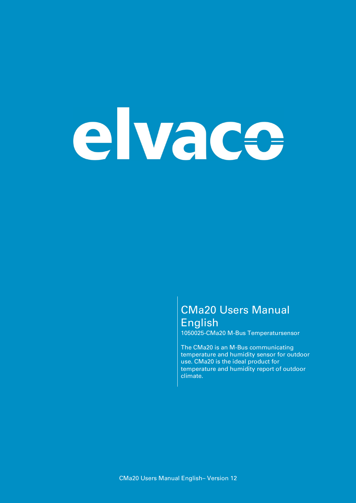# elvace

### **CMa20 Users Manual English**

**1050025-CMa20 M-Bus Temperatursensor**

**The CMa20 is an M-Bus communicating temperature and humidity sensor for outdoor use. CMa20 is the ideal product for temperature and humidity report of outdoor climate.**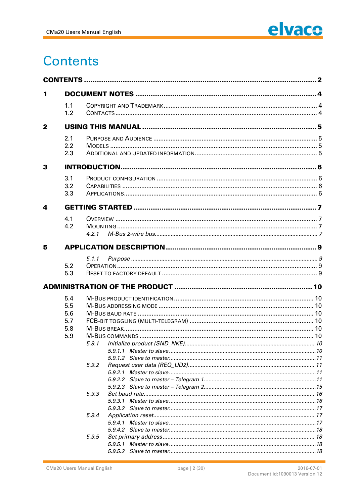

## **Contents**

| 1            |                          |       |  |
|--------------|--------------------------|-------|--|
|              | 1.1                      |       |  |
|              | 1.2                      |       |  |
| $\mathbf{2}$ |                          |       |  |
|              | 2.1                      |       |  |
|              | 2.2                      |       |  |
|              | 2.3                      |       |  |
| 3            |                          |       |  |
|              | 3.1                      |       |  |
|              | 3.2                      |       |  |
|              | 3.3                      |       |  |
| 4            |                          |       |  |
|              | 4.1                      |       |  |
|              | 4.2                      |       |  |
|              |                          | 4.2.1 |  |
| 5            |                          |       |  |
|              |                          | 5.1.1 |  |
|              | 5.2                      |       |  |
|              | 5.3                      |       |  |
|              |                          |       |  |
|              | 5.4                      |       |  |
|              | 5.5<br>5.6<br>5.7<br>5.8 |       |  |
|              |                          |       |  |
|              |                          |       |  |
|              |                          |       |  |
|              | 5.9                      |       |  |
|              |                          | 5.9.1 |  |
|              |                          |       |  |
|              |                          |       |  |
|              |                          | 5.9.2 |  |
|              |                          |       |  |
|              |                          |       |  |
|              |                          |       |  |
|              |                          | 5.9.3 |  |
|              |                          |       |  |
|              |                          |       |  |
|              |                          | 5.9.4 |  |
|              |                          |       |  |
|              |                          | 5.9.5 |  |
|              |                          |       |  |
|              |                          |       |  |
|              |                          |       |  |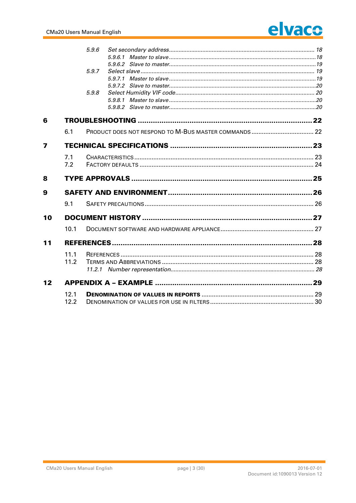# elvace

|                         |      | 5.9.6 |  |
|-------------------------|------|-------|--|
|                         |      |       |  |
|                         |      |       |  |
|                         |      | 5.9.7 |  |
|                         |      |       |  |
|                         |      |       |  |
|                         |      | 5.9.8 |  |
|                         |      |       |  |
|                         |      |       |  |
| 6                       |      |       |  |
|                         | 6.1  |       |  |
| $\overline{\mathbf{z}}$ |      |       |  |
|                         | 7.1  |       |  |
|                         | 7.2  |       |  |
| 8                       |      |       |  |
| 9                       |      |       |  |
|                         | 9.1  |       |  |
| 10                      |      |       |  |
|                         | 10.1 |       |  |
| 11                      |      |       |  |
|                         | 11.1 |       |  |
|                         | 11.2 |       |  |
|                         |      |       |  |
| 12                      |      |       |  |
|                         | 12.1 |       |  |
|                         | 12.2 |       |  |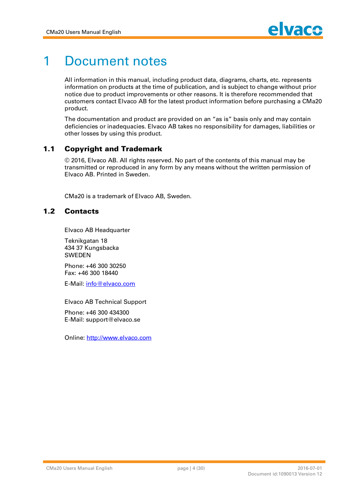

## **1 Document notes**

**All information in this manual, including product data, diagrams, charts, etc. represents information on products at the time of publication, and is subject to change without prior notice due to product improvements or other reasons. It is therefore recommended that customers contact Elvaco AB for the latest product information before purchasing a CMa20 product.**

**The documentation and product are provided on an "as is" basis only and may contain deficiencies or inadequacies. Elvaco AB takes no responsibility for damages, liabilities or other losses by using this product.**

#### **1.1 Copyright and Trademark**

**© 2016, Elvaco AB. All rights reserved. No part of the contents of this manual may be transmitted or reproduced in any form by any means without the written permission of Elvaco AB. Printed in Sweden.**

**CMa20 is a trademark of Elvaco AB, Sweden.**

#### 1.2 **Contacts**

**Elvaco AB Headquarter**

**Teknikgatan 18 434 37 Kungsbacka SWEDEN**

**Phone: +46 300 30250 Fax: +46 300 18440**

**E-Mail: [info@elvaco.com](mailto:info@elvaco.com)**

**Elvaco AB Technical Support Phone: +46 300 434300 E-Mail: [support@elvaco.se](mailto:support@elvaco.se)**

**Online: <http://w>ww.elvaco.com**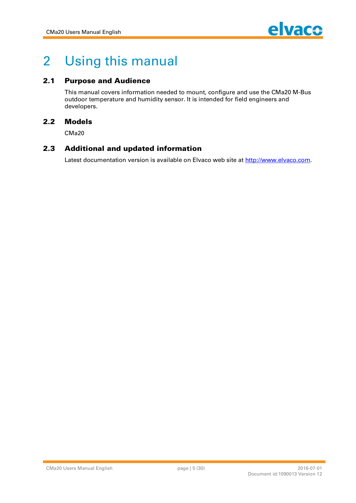

## **2 Using this manual**

#### **2.1 Purpose and Audience**

**This manual covers information needed to mount, configure and use the CMa20 M-Bus outdoor temperature and humidity sensor. It is intended for field engineers and developers.**

#### **2.2 M odels**

**CMa20**

#### **2.3** Additional and updated information

**Latest documentation version is available on Elvaco web site at <http://w>ww.elvaco.com.**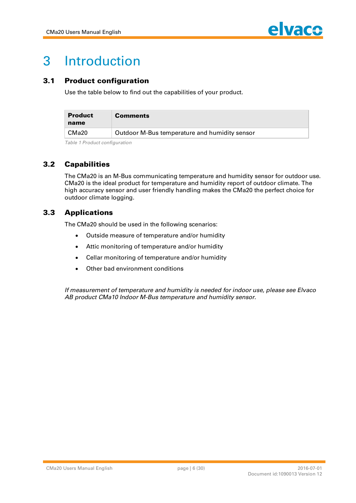

## **3 Introduction**

#### **3.1 Product configuration**

**Use the table below to find out the capabilities of your product.**

| <b>Product</b><br>name | <b>Comments</b>                               |
|------------------------|-----------------------------------------------|
| CMa <sub>20</sub>      | Outdoor M-Bus temperature and humidity sensor |

*Table 1 Product configuration*

#### **3.2 Capabilities**

**The CMa20 is an M-Bus communicating temperature and humidity sensor for outdoor use. CMa20 is the ideal product for temperature and humidity report of outdoor climate. The high accuracy sensor and user friendly handling makes the CMa20 the perfect choice for outdoor climate logging.**

#### **3.3 Applications**

**The CMa20 should be used in the following scenarios:**

- **Outside measure of temperature and/or humidity**
- **Attic monitoring of temperature and/or humidity**
- **Cellar monitoring of temperature and/or humidity**
- **Other bad environment conditions**

*If measurement of temperature and humidity is needed for indoor use, please see Elvaco AB product CMa10 Indoor M-Bus temperature and humidity sensor.*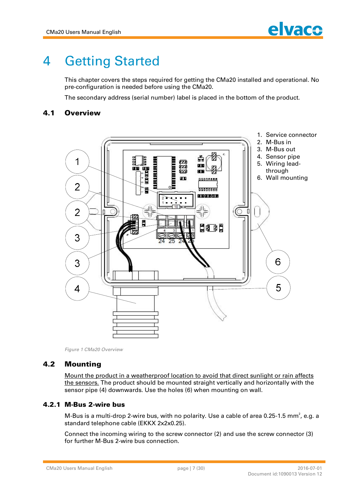## **4 Getting Started**

**This chapter covers the steps required for getting the CMa20 installed and operational. No pre-configuration is needed before using the CMa20.**

**The secondary address (serial number) label is placed in the bottom of the product.**

#### **4.1 Overview**



*Figure 1 CMa20 Overview*

#### **4.2 Mounting**

**Mount the product in a weatherproof location to avoid that direct sunlight or rain affects the sensors. The product should be mounted straight vertically and horizontally with the sensor pipe (4) downwards. Use the holes (6) when mounting on wall.**

#### **4.2.1 M -Bus 2-w ire bus**

**M-Bus is a multi-drop 2-wire bus, with no polarity. Use a cable of area 0.25-1.5 mm<sup>2</sup> , e.g. a standard telephone cable (EKKX 2x2x0.25).** 

**Connect the incoming wiring to the screw connector (2) and use the screw connector (3) for further M-Bus 2-wire bus connection.**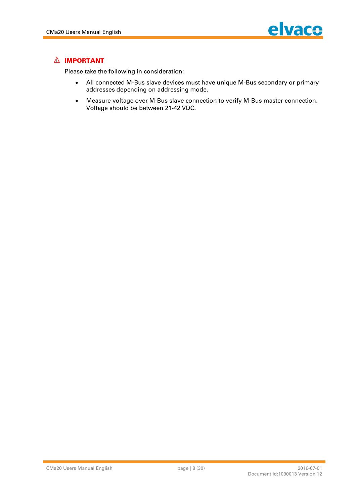

#### **A** IMPORTANT

**Please take the following in consideration:**

- **All connected M-Bus slave devices must have unique M-Bus secondary or primary addresses depending on addressing mode.**
- **Measure voltage over M-Bus slave connection to verify M-Bus master connection. Voltage should be between 21-42 VDC.**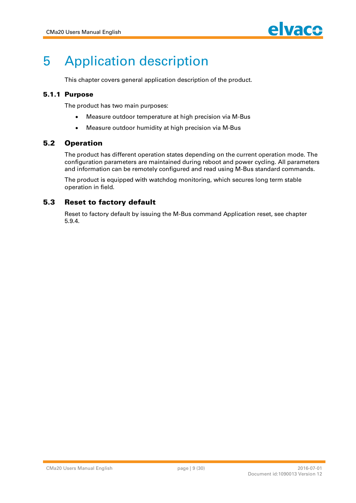

## **5 Application description**

**This chapter covers general application description of the product.**

#### **5.1.1 Purpose**

**The product has two main purposes:**

- **Measure outdoor temperature at high precision via M-Bus**
- **Measure outdoor humidity at high precision via M-Bus**

#### **5.2 Operation**

**The product has different operation states depending on the current operation mode. The configuration parameters are maintained during reboot and power cycling. All parameters and information can be remotely configured and read using M-Bus standard commands.**

**The product is equipped with watchdog monitoring, which secures long term stable operation in field.**

#### **5.3 Reset to factory default**

**Reset to factory default by issuing the M-Bus command Application reset, see chapter 5.9.4.**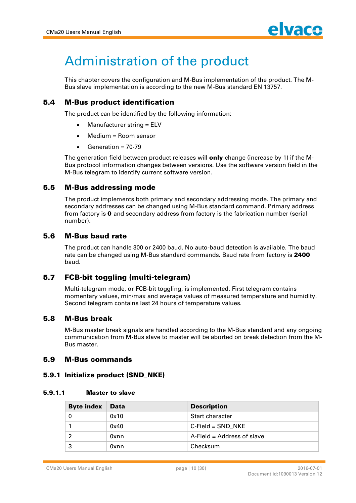## **Administration of the product**

**This chapter covers the configuration and M-Bus implementation of the product. The M-Bus slave implementation is according to the new M-Bus standard EN 13757.**

#### **5.4 M -Bus product ident if icat ion**

**The product can be identified by the following information:**

- **Manufacturer string = ELV**
- **Medium = Room sensor**
- **Generation = 70-79**

The generation field between product releases will **only** change (increase by 1) if the M-**Bus protocol information changes between versions. Use the software version field in the M-Bus telegram to identify current software version.**

#### **5.5 M -Bus addressing m ode**

**The product implements both primary and secondary addressing mode. The primary and secondary addresses can be changed using M-Bus standard command. Primary address from factory is 0 and secondary address from factory is the fabrication number (serial number).**

#### **5.6 M -Bus baud rat e**

**The product can handle 300 or 2400 baud. No auto-baud detection is available. The baud rate can be changed using M-Bus standard commands. Baud rate from factory is 2400 baud.**

#### **5.7 FCB-bit toggling (multi-telegram)**

**Multi-telegram mode, or FCB-bit toggling, is implemented. First telegram contains momentary values, min/max and average values of measured temperature and humidity. Second telegram contains last 24 hours of temperature values.**

#### **5.8 M -Bus break**

**M-Bus master break signals are handled according to the M-Bus standard and any ongoing communication from M-Bus slave to master will be aborted on break detection from the M-Bus master.**

#### **5.9 M -Bus com m ands**

#### **5.9.1 Init ialize product (SND\_NKE)**

#### **5.9.1.1 Master to slave**

| <b>Byte index</b> | <b>Data</b> | <b>Description</b>         |
|-------------------|-------------|----------------------------|
|                   | 0x10        | Start character            |
|                   | 0x40        | $C$ -Field = SND NKE       |
|                   | Oxnn        | A-Field = Address of slave |
|                   | 0xnn        | Checksum                   |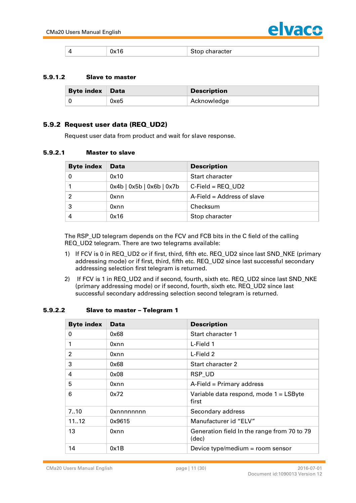

#### **5.9.1.2 Slave to master**

| <b>Byte index Data</b> |      | <b>Description</b> |
|------------------------|------|--------------------|
|                        | 0xe5 | Acknowledge        |

#### **5.9.2 Request user data (REQ\_UD2)**

**Request user data from product and wait for slave response.**

#### **5.9.2.1 Master to slave**

| <b>Byte index</b> | <b>Data</b>                       | <b>Description</b>         |
|-------------------|-----------------------------------|----------------------------|
|                   | 0x10                              | Start character            |
|                   | $0x4b$   $0x5b$   $0x6b$   $0x7b$ | $C$ -Field = REQ UD2       |
| 2                 | 0xnn                              | A-Field = Address of slave |
| 3                 | 0xnn                              | Checksum                   |
|                   | 0x16                              | Stop character             |

**The RSP\_UD telegram depends on the FCV and FCB bits in the C field of the calling REQ\_UD2 telegram. There are two telegrams available:**

- **1) If FCV is 0 in REQ\_UD2 or if first, third, fifth etc. REQ\_UD2 since last SND\_NKE (primary addressing mode) or if first, third, fifth etc. REQ\_UD2 since last successful secondary addressing selection first telegram is returned.**
- **2) If FCV is 1 in REQ\_UD2 and if second, fourth, sixth etc. REQ\_UD2 since last SND\_NKE (primary addressing mode) or if second, fourth, sixth etc. REQ\_UD2 since last successful secondary addressing selection second telegram is returned.**

#### **5.9.2.2 Slave to master - Telegram 1**

| <b>Byte index</b> | <b>Data</b> | <b>Description</b>                                   |
|-------------------|-------------|------------------------------------------------------|
| 0                 | 0x68        | Start character 1                                    |
| 1                 | 0xnn        | L-Field 1                                            |
| $\mathfrak{p}$    | 0xnn        | L-Field 2                                            |
| 3                 | 0x68        | Start character 2                                    |
| 4                 | 0x08        | RSP_UD                                               |
| 5                 | 0xnn        | A-Field = Primary address                            |
| 6                 | 0x72        | Variable data respond, mode 1 = LSByte<br>first      |
| 7.10              | Oxnnnnnnnn  | Secondary address                                    |
| 1112              | 0x9615      | Manufacturer id "ELV"                                |
| 13                | 0xnn        | Generation field In the range from 70 to 79<br>(dec) |
| 14                | 0x1B        | Device type/medium = room sensor                     |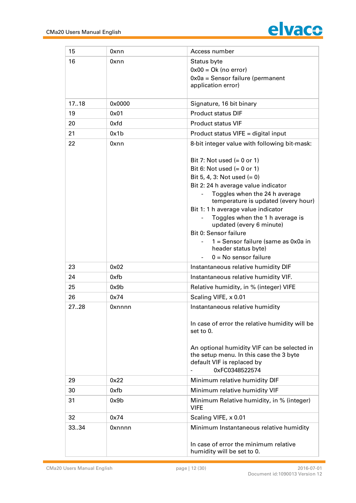

| 15    | 0xnn            | Access number                                                       |
|-------|-----------------|---------------------------------------------------------------------|
| 16    | 0xnn            | Status byte                                                         |
|       |                 | $0x00 = Ok$ (no error)                                              |
|       |                 | $0x0a =$ Sensor failure (permanent                                  |
|       |                 | application error)                                                  |
|       |                 |                                                                     |
| 17.18 | $0 \times 0000$ | Signature, 16 bit binary                                            |
| 19    | 0x01            | <b>Product status DIF</b>                                           |
| 20    | 0xfd            | <b>Product status VIF</b>                                           |
| 21    | 0x1b            | Product status VIFE = digital input                                 |
| 22    | 0xnn            | 8-bit integer value with following bit-mask:                        |
|       |                 | Bit 7: Not used $(= 0$ or 1)                                        |
|       |                 | Bit 6: Not used $(= 0$ or 1)                                        |
|       |                 | Bit 5, 4, 3: Not used $(= 0)$                                       |
|       |                 | Bit 2: 24 h average value indicator                                 |
|       |                 | Toggles when the 24 h average                                       |
|       |                 | temperature is updated (every hour)                                 |
|       |                 | Bit 1: 1 h average value indicator                                  |
|       |                 | Toggles when the 1 h average is<br>updated (every 6 minute)         |
|       |                 | Bit 0: Sensor failure                                               |
|       |                 | 1 = Sensor failure (same as 0x0a in                                 |
|       |                 | header status byte)                                                 |
|       |                 | $0 = No$ sensor failure                                             |
| 23    | 0x02            | Instantaneous relative humidity DIF                                 |
| 24    | 0xfb            | Instantaneous relative humidity VIF.                                |
| 25    | 0x9b            | Relative humidity, in % (integer) VIFE                              |
| 26    | 0x74            | Scaling VIFE, x 0.01                                                |
| 2728  | 0xnnnn          | Instantaneous relative humidity                                     |
|       |                 | In case of error the relative humidity will be                      |
|       |                 | set to 0.                                                           |
|       |                 | An optional humidity VIF can be selected in                         |
|       |                 | the setup menu. In this case the 3 byte                             |
|       |                 | default VIF is replaced by                                          |
|       |                 | 0xFC0348522574                                                      |
| 29    | 0x22            | Minimum relative humidity DIF                                       |
| 30    | 0xfb            | Minimum relative humidity VIF                                       |
| 31    | 0x9b            | Minimum Relative humidity, in % (integer)<br><b>VIFE</b>            |
| 32    | 0x74            | Scaling VIFE, x 0.01                                                |
| 3334  | 0xnnnn          | Minimum Instantaneous relative humidity                             |
|       |                 | In case of error the minimum relative<br>humidity will be set to 0. |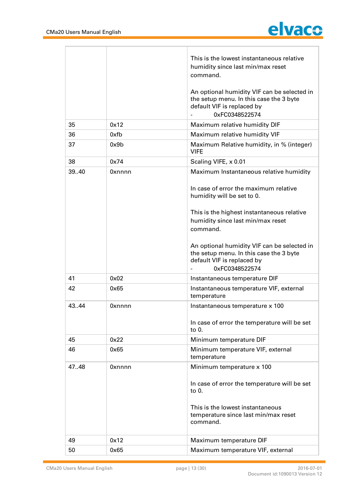

|       |        | This is the lowest instantaneous relative<br>humidity since last min/max reset<br>command.                                             |
|-------|--------|----------------------------------------------------------------------------------------------------------------------------------------|
|       |        | An optional humidity VIF can be selected in<br>the setup menu. In this case the 3 byte<br>default VIF is replaced by<br>0xFC0348522574 |
| 35    | 0x12   | Maximum relative humidity DIF                                                                                                          |
| 36    | 0xfb   | Maximum relative humidity VIF                                                                                                          |
| 37    | 0x9b   | Maximum Relative humidity, in % (integer)<br><b>VIFE</b>                                                                               |
| 38    | 0x74   | Scaling VIFE, x 0.01                                                                                                                   |
| 39.40 | Oxnnnn | Maximum Instantaneous relative humidity<br>In case of error the maximum relative                                                       |
|       |        | humidity will be set to 0.                                                                                                             |
|       |        | This is the highest instantaneous relative                                                                                             |
|       |        | humidity since last min/max reset<br>command.                                                                                          |
|       |        | An optional humidity VIF can be selected in<br>the setup menu. In this case the 3 byte<br>default VIF is replaced by<br>0xFC0348522574 |
| 41    | 0x02   | Instantaneous temperature DIF                                                                                                          |
| 42    | 0x65   | Instantaneous temperature VIF, external<br>temperature                                                                                 |
| 43.44 | Oxnnnn | Instantaneous temperature x 100                                                                                                        |
|       |        | In case of error the temperature will be set<br>to 0.                                                                                  |
| 45    | 0x22   | Minimum temperature DIF                                                                                                                |
| 46    | 0x65   | Minimum temperature VIF, external<br>temperature                                                                                       |
| 47.48 | 0xnnnn | Minimum temperature x 100                                                                                                              |
|       |        | In case of error the temperature will be set<br>to $0$ .                                                                               |
|       |        | This is the lowest instantaneous<br>temperature since last min/max reset<br>command.                                                   |
| 49    | 0x12   | Maximum temperature DIF                                                                                                                |
| 50    | 0x65   | Maximum temperature VIF, external                                                                                                      |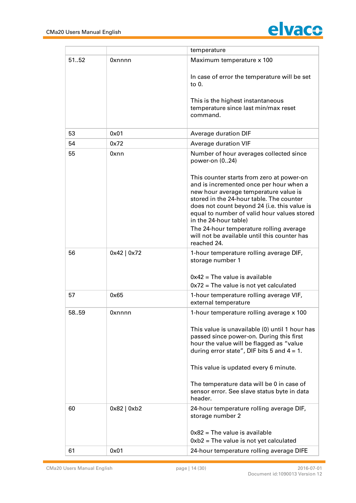

|       |             | temperature                                                                                                                                                                                                                                                                                                                                                                                  |
|-------|-------------|----------------------------------------------------------------------------------------------------------------------------------------------------------------------------------------------------------------------------------------------------------------------------------------------------------------------------------------------------------------------------------------------|
| 5152  | 0xnnnn      | Maximum temperature x 100                                                                                                                                                                                                                                                                                                                                                                    |
|       |             | In case of error the temperature will be set<br>to $0$ .                                                                                                                                                                                                                                                                                                                                     |
|       |             | This is the highest instantaneous<br>temperature since last min/max reset<br>command.                                                                                                                                                                                                                                                                                                        |
| 53    | 0x01        | Average duration DIF                                                                                                                                                                                                                                                                                                                                                                         |
| 54    | 0x72        | Average duration VIF                                                                                                                                                                                                                                                                                                                                                                         |
| 55    | 0xnn        | Number of hour averages collected since<br>power-on (024)                                                                                                                                                                                                                                                                                                                                    |
|       |             | This counter starts from zero at power-on<br>and is incremented once per hour when a<br>new hour average temperature value is<br>stored in the 24-hour table. The counter<br>does not count beyond 24 (i.e. this value is<br>equal to number of valid hour values stored<br>in the 24-hour table)<br>The 24-hour temperature rolling average<br>will not be available until this counter has |
| 56    | 0x42   0x72 | reached 24.<br>1-hour temperature rolling average DIF,<br>storage number 1                                                                                                                                                                                                                                                                                                                   |
|       |             | $0x42$ = The value is available<br>$0x72$ = The value is not yet calculated                                                                                                                                                                                                                                                                                                                  |
| 57    | 0x65        | 1-hour temperature rolling average VIF,<br>external temperature                                                                                                                                                                                                                                                                                                                              |
| 58.59 | Oxnnnn      | 1-hour temperature rolling average x 100                                                                                                                                                                                                                                                                                                                                                     |
|       |             | This value is unavailable (0) until 1 hour has<br>passed since power-on. During this first<br>hour the value will be flagged as "value<br>during error state", DIF bits 5 and $4 = 1$ .                                                                                                                                                                                                      |
|       |             | This value is updated every 6 minute.                                                                                                                                                                                                                                                                                                                                                        |
|       |             | The temperature data will be 0 in case of<br>sensor error. See slave status byte in data<br>header.                                                                                                                                                                                                                                                                                          |
| 60    | 0x82   0xb2 | 24-hour temperature rolling average DIF,<br>storage number 2                                                                                                                                                                                                                                                                                                                                 |
|       |             | $0x82$ = The value is available                                                                                                                                                                                                                                                                                                                                                              |
|       |             | $0xb2$ = The value is not yet calculated                                                                                                                                                                                                                                                                                                                                                     |
| 61    | 0x01        | 24-hour temperature rolling average DIFE                                                                                                                                                                                                                                                                                                                                                     |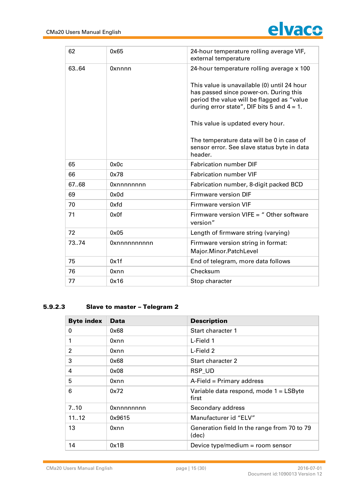![](_page_14_Picture_1.jpeg)

| 62    | 0x65         | 24-hour temperature rolling average VIF,<br>external temperature                                                                                                                     |
|-------|--------------|--------------------------------------------------------------------------------------------------------------------------------------------------------------------------------------|
| 63.64 | 0xnnnn       | 24-hour temperature rolling average x 100                                                                                                                                            |
|       |              | This value is unavailable (0) until 24 hour<br>has passed since power-on. During this<br>period the value will be flagged as "value<br>during error state", DIF bits 5 and $4 = 1$ . |
|       |              | This value is updated every hour.                                                                                                                                                    |
|       |              | The temperature data will be 0 in case of<br>sensor error. See slave status byte in data<br>header.                                                                                  |
| 65    | 0x0c         | <b>Fabrication number DIF</b>                                                                                                                                                        |
| 66    | 0x78         | <b>Fabrication number VIF</b>                                                                                                                                                        |
| 67.68 | Oxnnnnnnnn   | Fabrication number, 8-digit packed BCD                                                                                                                                               |
| 69    | 0x0d         | Firmware version DIF                                                                                                                                                                 |
| 70    | 0xfd         | Firmware version VIF                                                                                                                                                                 |
| 71    | 0x0f         | Firmware version VIFE $=$ " Other software<br>version"                                                                                                                               |
| 72    | 0x05         | Length of firmware string (varying)                                                                                                                                                  |
| 7374  | Oxnnnnnnnnnn | Firmware version string in format:<br>Major.Minor.PatchLevel                                                                                                                         |
| 75    | 0x1f         | End of telegram, more data follows                                                                                                                                                   |
| 76    | 0xnn         | Checksum                                                                                                                                                                             |
| 77    | 0x16         | Stop character                                                                                                                                                                       |

#### **5.9.2.3 Slave to master - Telegram 2**

| <b>Byte index</b> | <b>Data</b> | <b>Description</b>                                   |
|-------------------|-------------|------------------------------------------------------|
| 0                 | 0x68        | Start character 1                                    |
| 1                 | 0xnn        | L-Field 1                                            |
| $\overline{2}$    | 0xnn        | L-Field 2                                            |
| 3                 | 0x68        | Start character 2                                    |
| 4                 | 0x08        | RSP_UD                                               |
| 5                 | 0xnn        | A-Field = Primary address                            |
| 6                 | 0x72        | Variable data respond, mode 1 = LSByte<br>first      |
| 7.10              | Oxnnnnnnnn  | Secondary address                                    |
| 1112              | 0x9615      | Manufacturer id "ELV"                                |
| 13                | 0xnn        | Generation field In the range from 70 to 79<br>(dec) |
| 14                | 0x1B        | Device type/medium = room sensor                     |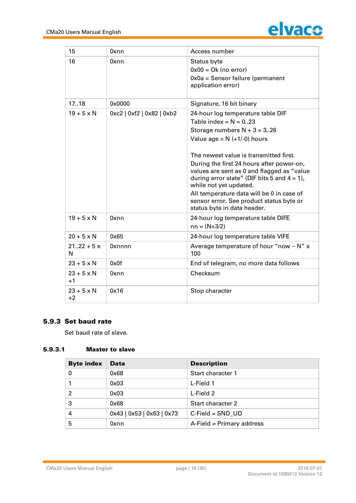![](_page_15_Picture_1.jpeg)

| 15                        | 0xnn                      | Access number                                                                                                                                                                                                                                                                                                                                                                                                                                                            |
|---------------------------|---------------------------|--------------------------------------------------------------------------------------------------------------------------------------------------------------------------------------------------------------------------------------------------------------------------------------------------------------------------------------------------------------------------------------------------------------------------------------------------------------------------|
| 16                        | 0xnn                      | Status byte<br>$0x00 = Ok$ (no error)<br>0x0a = Sensor failure (permanent<br>application error)                                                                                                                                                                                                                                                                                                                                                                          |
| 17.18                     | 0x0000                    | Signature, 16 bit binary                                                                                                                                                                                                                                                                                                                                                                                                                                                 |
| $19 + 5 \times N$         | 0xc2   0xf2   0x82   0xb2 | 24-hour log temperature table DIF<br>Table index = $N = 023$<br>Storage numbers $N + 3 = 3.26$<br>Value age = $N$ (+1/-0) hours<br>The newest value is transmitted first.<br>During the first 24 hours after power-on,<br>values are sent as 0 and flagged as "value<br>during error state" (DIF bits 5 and $4 = 1$ ),<br>while not yet updated.<br>All temperature data will be 0 in case of<br>sensor error. See product status byte or<br>status byte in data header. |
| $19 + 5 \times N$         | 0xnn                      | 24-hour log temperature table DIFE<br>$nn = (N+3/2)$                                                                                                                                                                                                                                                                                                                                                                                                                     |
| $20 + 5 \times N$         | 0x65                      | 24-hour log temperature table VIFE                                                                                                                                                                                                                                                                                                                                                                                                                                       |
| $2122 + 5x$<br>N          | Oxnnnn                    | Average temperature of hour "now - N" x<br>100                                                                                                                                                                                                                                                                                                                                                                                                                           |
| $23 + 5 \times N$         | 0x0f                      | End of telegram, no more data follows                                                                                                                                                                                                                                                                                                                                                                                                                                    |
| $23 + 5 \times N$<br>$+1$ | 0xnn                      | Checksum                                                                                                                                                                                                                                                                                                                                                                                                                                                                 |
| $23 + 5 \times N$<br>$+2$ | 0x16                      | Stop character                                                                                                                                                                                                                                                                                                                                                                                                                                                           |

#### **5.9.3 Set baud rate**

**Set baud rate of slave.**

#### **5.9.3.1 Master to slave**

| <b>Byte index</b> | <b>Data</b>               | <b>Description</b>        |
|-------------------|---------------------------|---------------------------|
| 0                 | 0x68                      | Start character 1         |
|                   | 0x03                      | L-Field 1                 |
| 2                 | 0x03                      | L-Field 2                 |
| 3                 | 0x68                      | Start character 2         |
| 4                 | 0x43   0x53   0x63   0x73 | $C$ -Field = SND UD       |
| 5                 | 0xnn                      | A-Field = Primary address |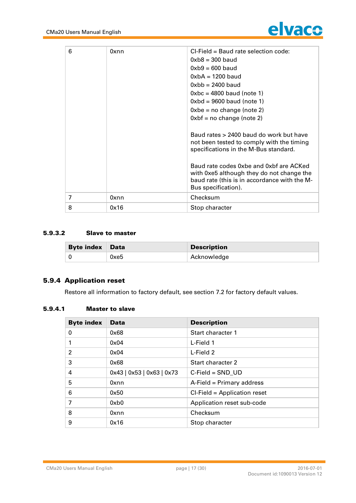![](_page_16_Picture_1.jpeg)

| 6 | 0xnn | CI-Field = Baud rate selection code:<br>$0xb8 = 300$ baud<br>$0xb9 = 600$ baud<br>$0$ xbA = 1200 baud<br>$0$ xbb = 2400 baud<br>$0 \times bc = 4800$ baud (note 1)<br>$0$ xbd = 9600 baud (note 1)<br>$0xbe = no change (note 2)$<br>$0xbf = no change (note 2)$                             |
|---|------|----------------------------------------------------------------------------------------------------------------------------------------------------------------------------------------------------------------------------------------------------------------------------------------------|
|   |      | Baud rates > 2400 baud do work but have<br>not been tested to comply with the timing<br>specifications in the M-Bus standard.<br>Baud rate codes 0xbe and 0xbf are ACKed<br>with 0xe5 although they do not change the<br>baud rate (this is in accordance with the M-<br>Bus specification). |
| 7 | 0xnn | Checksum                                                                                                                                                                                                                                                                                     |
| 8 | 0x16 | Stop character                                                                                                                                                                                                                                                                               |

#### **5.9.3.2 Slave to master**

| <b>Byte index Data</b> |      | <b>Description</b> |
|------------------------|------|--------------------|
|                        | 0xe5 | Acknowledge        |

#### **5.9.4 Application reset**

**Restore all information to factory default, see section 7.2 for factory default values.**

#### **5.9.4.1 Master to slave**

| <b>Byte index</b> | <b>Data</b>               | <b>Description</b>              |
|-------------------|---------------------------|---------------------------------|
| 0                 | 0x68                      | Start character 1               |
|                   | 0x04                      | L-Field 1                       |
| $\overline{2}$    | 0x04                      | L-Field 2                       |
| 3                 | 0x68                      | Start character 2               |
| $\overline{4}$    | 0x43   0x53   0x63   0x73 | $C$ -Field = SND UD             |
| 5                 | 0xnn                      | A-Field = Primary address       |
| 6                 | 0x50                      | $CI$ -Field = Application reset |
| 7                 | 0xb0                      | Application reset sub-code      |
| 8                 | 0xnn                      | Checksum                        |
| 9                 | 0x16                      | Stop character                  |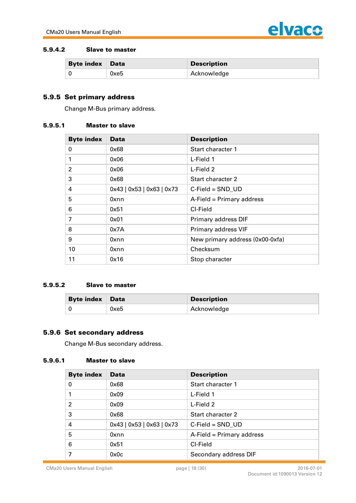![](_page_17_Picture_1.jpeg)

#### **5.9.4.2 Slave to master**

| <b>Byte index Data</b> |      | <b>Description</b> |
|------------------------|------|--------------------|
|                        | 0xe5 | Acknowledge        |

#### **5.9.5 Set prim ary address**

**Change M-Bus primary address.**

#### **5.9.5.1 Master to slave**

| <b>Byte index</b> | <b>Data</b>               | <b>Description</b>              |
|-------------------|---------------------------|---------------------------------|
| 0                 | 0x68                      | Start character 1               |
| 1                 | 0x06                      | L-Field 1                       |
| $\mathfrak{p}$    | 0x06                      | L-Field 2                       |
| 3                 | 0x68                      | Start character 2               |
| 4                 | 0x43   0x53   0x63   0x73 | $C$ -Field = $SND$ UD           |
| 5                 | 0xnn                      | A-Field = Primary address       |
| 6                 | 0x51                      | CI-Field                        |
| 7                 | 0x01                      | Primary address DIF             |
| 8                 | 0x7A                      | Primary address VIF             |
| 9                 | 0xnn                      | New primary address (0x00-0xfa) |
| 10                | 0xnn                      | Checksum                        |
| 11                | 0x16                      | Stop character                  |

#### **5.9.5.2 Slave to master**

| <b>Byte index Data</b> |      | <b>Description</b> |
|------------------------|------|--------------------|
|                        | 0xe5 | Acknowledge        |

#### **5.9.6 Set secondary address**

**Change M-Bus secondary address.**

#### **5.9.6.1 Master to slave**

| <b>Byte index</b> | <b>Data</b>               | <b>Description</b>        |
|-------------------|---------------------------|---------------------------|
| 0                 | 0x68                      | Start character 1         |
| 1                 | 0x09                      | L-Field 1                 |
| $\overline{2}$    | 0x09                      | L-Field 2                 |
| 3                 | 0x68                      | Start character 2         |
| 4                 | 0x43   0x53   0x63   0x73 | $C$ -Field = SND UD       |
| 5                 | 0xnn                      | A-Field = Primary address |
| 6                 | 0x51                      | CI-Field                  |
| 7                 | 0x0c                      | Secondary address DIF     |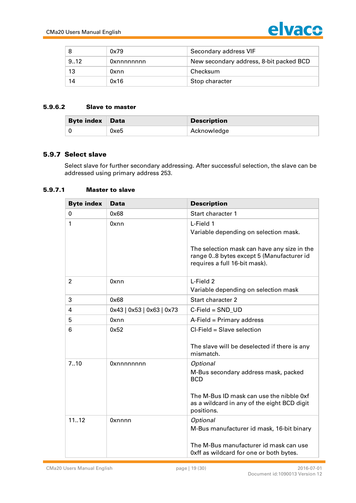![](_page_18_Picture_1.jpeg)

|      | 0x79       | Secondary address VIF                   |
|------|------------|-----------------------------------------|
| 9.12 | Oxnnnnnnnn | New secondary address, 8-bit packed BCD |
| 13   | 0xnn       | Checksum                                |
| 14   | 0x16       | Stop character                          |

#### **5.9.6.2 Slave to master**

| <b>Byte index Data</b> |      | <b>Description</b> |
|------------------------|------|--------------------|
|                        | 0xe5 | Acknowledge        |

#### **5.9.7 Select slave**

**Select slave for further secondary addressing. After successful selection, the slave can be addressed using primary address 253.**

#### **5.9.7.1 Master to slave**

| <b>Byte index</b> | Data                      | <b>Description</b>                                                                                                                                                             |
|-------------------|---------------------------|--------------------------------------------------------------------------------------------------------------------------------------------------------------------------------|
| 0                 | 0x68                      | Start character 1                                                                                                                                                              |
| 1                 | 0xnn                      | L-Field 1<br>Variable depending on selection mask.<br>The selection mask can have any size in the<br>range 08 bytes except 5 (Manufacturer id<br>requires a full 16-bit mask). |
| $\overline{2}$    | 0xnn                      | L-Field 2<br>Variable depending on selection mask                                                                                                                              |
| 3                 | 0x68                      | Start character 2                                                                                                                                                              |
| 4                 | 0x43   0x53   0x63   0x73 | $C$ -Field = $SND$ UD                                                                                                                                                          |
| 5                 | 0xnn                      | A-Field = Primary address                                                                                                                                                      |
| 6                 | 0x52                      | CI-Field = Slave selection<br>The slave will be deselected if there is any<br>mismatch.                                                                                        |
| 7.10              | Oxnnnnnnnn                | Optional<br>M-Bus secondary address mask, packed<br><b>BCD</b><br>The M-Bus ID mask can use the nibble 0xf<br>as a wildcard in any of the eight BCD digit<br>positions.        |
| 1112              | <b>Oxnnnn</b>             | Optional<br>M-Bus manufacturer id mask, 16-bit binary<br>The M-Bus manufacturer id mask can use<br>0xff as wildcard for one or both bytes.                                     |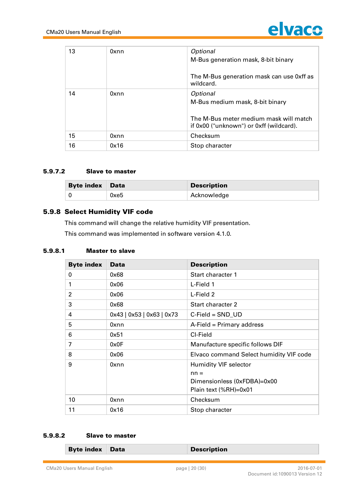![](_page_19_Picture_1.jpeg)

| 13 | 0xnn | Optional                                                                          |
|----|------|-----------------------------------------------------------------------------------|
|    |      | M-Bus generation mask, 8-bit binary                                               |
|    |      |                                                                                   |
|    |      | The M-Bus generation mask can use 0xff as<br>wildcard.                            |
| 14 | 0xnn | Optional                                                                          |
|    |      | M-Bus medium mask, 8-bit binary                                                   |
|    |      |                                                                                   |
|    |      | The M-Bus meter medium mask will match<br>if 0x00 ("unknown") or 0xff (wildcard). |
| 15 | 0xnn | Checksum                                                                          |
| 16 | 0x16 | Stop character                                                                    |

#### **5.9.7.2 Slave to master**

| <b>Byte index Data</b> |      | <b>Description</b> |
|------------------------|------|--------------------|
|                        | 0xe5 | Acknowledge        |

#### **5.9.8 Select Humidity VIF code**

**This command will change the relative humidity VIF presentation.** 

**This command was implemented in software version 4.1.0.**

#### **5.9.8.1 Master to slave**

| <b>Byte index</b> | <b>Data</b>               | <b>Description</b>                      |
|-------------------|---------------------------|-----------------------------------------|
| 0                 | 0x68                      | Start character 1                       |
| 1                 | 0x06                      | L-Field 1                               |
| 2                 | 0x06                      | L-Field 2                               |
| 3                 | 0x68                      | Start character 2                       |
| 4                 | 0x43   0x53   0x63   0x73 | $C$ -Field = $SND$ _UD                  |
| 5                 | 0xnn                      | A-Field = Primary address               |
| 6                 | 0x51                      | CI-Field                                |
| 7                 | 0x0F                      | Manufacture specific follows DIF        |
| 8                 | 0x06                      | Elvaco command Select humidity VIF code |
| 9                 | 0xnn                      | <b>Humidity VIF selector</b>            |
|                   |                           | $nn =$                                  |
|                   |                           | Dimensionless (0xFDBA)=0x00             |
|                   |                           | Plain text (%RH)=0x01                   |
| 10                | 0xnn                      | Checksum                                |
| 11                | 0x16                      | Stop character                          |

#### **5.9.8.2 Slave to master**

| <b>Byte index</b><br>Data<br><b>Description</b> |
|-------------------------------------------------|
|-------------------------------------------------|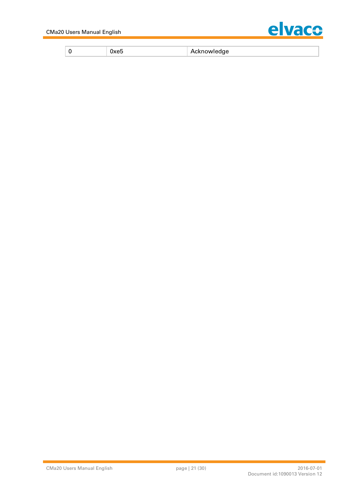![](_page_20_Picture_1.jpeg)

| $\sim$ - $\sim$ 10 M $\sim$ 10 M $\sim$<br>-<br>. |  |
|---------------------------------------------------|--|
|---------------------------------------------------|--|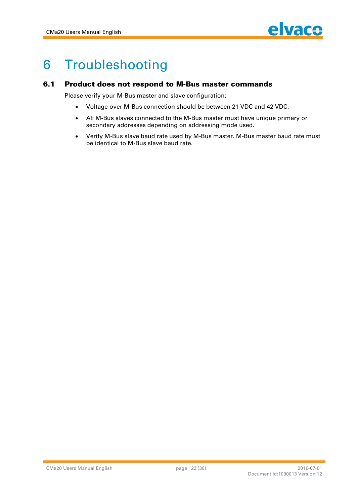![](_page_21_Picture_1.jpeg)

## **6 Troubleshooting**

#### **6.1 Product does not respond to M-Bus master commands**

**Please verify your M-Bus master and slave configuration:**

- **Voltage over M-Bus connection should be between 21 VDC and 42 VDC.**
- **All M-Bus slaves connected to the M-Bus master must have unique primary or secondary addresses depending on addressing mode used.**
- **Verify M-Bus slave baud rate used by M-Bus master. M-Bus master baud rate must be identical to M-Bus slave baud rate.**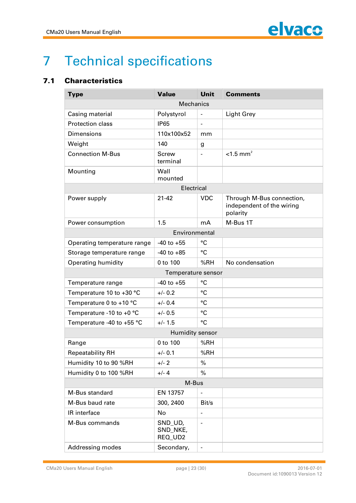![](_page_22_Picture_1.jpeg)

## **7 Technical specifications**

#### **7.1 Characteristics**

| <b>Type</b>                      | <b>Value</b>                   | Unit                     | <b>Comments</b>                                                    |  |  |
|----------------------------------|--------------------------------|--------------------------|--------------------------------------------------------------------|--|--|
| <b>Mechanics</b>                 |                                |                          |                                                                    |  |  |
| Casing material                  | Polystyrol                     |                          | <b>Light Grey</b>                                                  |  |  |
| Protection class                 | <b>IP65</b>                    | $\blacksquare$           |                                                                    |  |  |
| <b>Dimensions</b>                | 110x100x52                     | mm                       |                                                                    |  |  |
| Weight                           | 140                            | g                        |                                                                    |  |  |
| <b>Connection M-Bus</b>          | <b>Screw</b><br>terminal       | $\blacksquare$           | $< 1.5$ mm <sup>2</sup>                                            |  |  |
| Mounting                         | Wall<br>mounted                |                          |                                                                    |  |  |
|                                  | Electrical                     |                          |                                                                    |  |  |
| Power supply                     | $21 - 42$                      | <b>VDC</b>               | Through M-Bus connection,<br>independent of the wiring<br>polarity |  |  |
| Power consumption                | 1.5                            | mA                       | M-Bus 1T                                                           |  |  |
| Environmental                    |                                |                          |                                                                    |  |  |
| Operating temperature range      | $-40$ to $+55$                 | °C                       |                                                                    |  |  |
| Storage temperature range        | $-40$ to $+85$                 | $\rm ^{\circ}C$          |                                                                    |  |  |
| <b>Operating humidity</b>        | 0 to 100                       | %RH                      | No condensation                                                    |  |  |
| Temperature sensor               |                                |                          |                                                                    |  |  |
| Temperature range                | $-40$ to $+55$                 | °C                       |                                                                    |  |  |
| Temperature 10 to +30 °C         | $+/- 0.2$                      | °C                       |                                                                    |  |  |
| Temperature 0 to +10 $\degree$ C | $+/- 0.4$                      | $\rm ^{\circ}C$          |                                                                    |  |  |
| Temperature -10 to +0 °C         | $+/- 0.5$                      | $\rm ^{\circ}C$          |                                                                    |  |  |
| Temperature -40 to +55 °C        | $+/- 1.5$                      | °C                       |                                                                    |  |  |
|                                  | Humidity sensor                |                          |                                                                    |  |  |
| Range                            | 0 to 100                       | %RH                      |                                                                    |  |  |
| <b>Repeatability RH</b>          | $+/- 0.1$                      | %RH                      |                                                                    |  |  |
| Humidity 10 to 90 %RH            | $+/- 2$                        | %                        |                                                                    |  |  |
| Humidity 0 to 100 %RH            | $+/- 4$                        | %                        |                                                                    |  |  |
| M-Bus                            |                                |                          |                                                                    |  |  |
| M-Bus standard                   | EN 13757                       |                          |                                                                    |  |  |
| M-Bus baud rate                  | 300, 2400                      | Bit/s                    |                                                                    |  |  |
| IR interface                     | No                             | $\overline{\phantom{a}}$ |                                                                    |  |  |
| M-Bus commands                   | SND_UD,<br>SND_NKE,<br>REQ_UD2 |                          |                                                                    |  |  |
| Addressing modes                 | Secondary,                     |                          |                                                                    |  |  |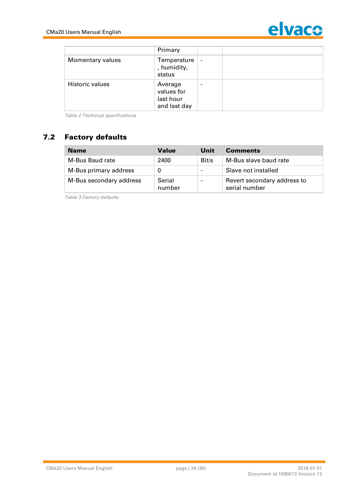![](_page_23_Picture_1.jpeg)

|                  | Primary                                            |                          |  |
|------------------|----------------------------------------------------|--------------------------|--|
| Momentary values | Temperature<br>, humidity,<br>status               | $\overline{\phantom{a}}$ |  |
| Historic values  | Average<br>values for<br>last hour<br>and last day |                          |  |

*Table 2 Technical specifications*

#### **7.2 Factory defaults**

| <b>Name</b>             | <b>Value</b>     | Unit                     | <b>Comments</b>                              |
|-------------------------|------------------|--------------------------|----------------------------------------------|
| M-Bus Baud rate         | 2400             | Bit/s                    | M-Bus slave baud rate                        |
| M-Bus primary address   |                  | $\overline{\phantom{0}}$ | Slave not installed                          |
| M-Bus secondary address | Serial<br>number |                          | Revert secondary address to<br>serial number |

*Table 3 Factory defaults*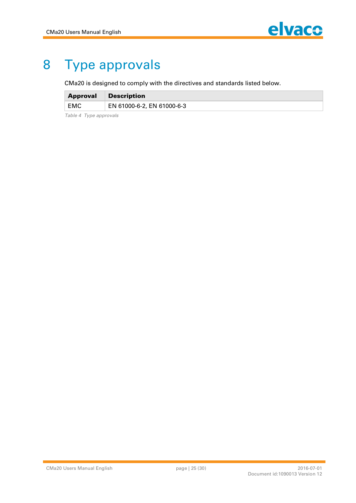## **8 Type approvals**

**CMa20 is designed to comply with the directives and standards listed below.**

| <b>Approval</b> | <b>Description</b>         |
|-----------------|----------------------------|
| EMC             | EN 61000-6-2, EN 61000-6-3 |

*Table 4 Type approvals*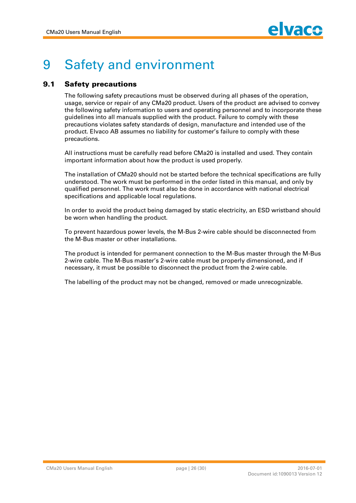![](_page_25_Picture_1.jpeg)

## **9 Safety and environment**

#### **9.1 Safety precautions**

**The following safety precautions must be observed during all phases of the operation, usage, service or repair of any CMa20 product. Users of the product are advised to convey the following safety information to users and operating personnel and to incorporate these guidelines into all manuals supplied with the product. Failure to comply with these precautions violates safety standards of design, manufacture and intended use of the product. Elvaco AB assumes no liability for customer's failure to comply with these precautions.**

**All instructions must be carefully read before CMa20 is installed and used. They contain important information about how the product is used properly.**

**The installation of CMa20 should not be started before the technical specifications are fully understood. The work must be performed in the order listed in this manual, and only by qualified personnel. The work must also be done in accordance with national electrical specifications and applicable local regulations.**

**In order to avoid the product being damaged by static electricity, an ESD wristband should be worn when handling the product.**

**To prevent hazardous power levels, the M-Bus 2-wire cable should be disconnected from the M-Bus master or other installations.**

**The product is intended for permanent connection to the M-Bus master through the M-Bus 2-wire cable. The M-Bus master's 2-wire cable must be properly dimensioned, and if necessary, it must be possible to disconnect the product from the 2-wire cable.**

**The labelling of the product may not be changed, removed or made unrecognizable.**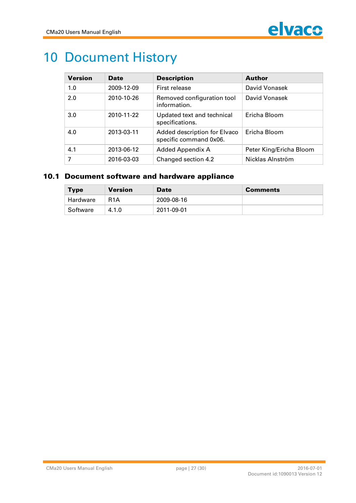![](_page_26_Picture_1.jpeg)

## **10 Document History**

| <b>Version</b> | <b>Date</b> | <b>Description</b>                                     | <b>Author</b>           |
|----------------|-------------|--------------------------------------------------------|-------------------------|
| 1.0            | 2009-12-09  | First release                                          | David Vonasek           |
| 2.0            | 2010-10-26  | Removed configuration tool<br>information.             | David Vonasek           |
| 3.0            | 2010-11-22  | Updated text and technical<br>specifications.          | Ericha Bloom            |
| 4.0            | 2013-03-11  | Added description for Elvaco<br>specific command 0x06. | Ericha Bloom            |
| 4.1            | 2013-06-12  | Added Appendix A                                       | Peter King/Ericha Bloom |
| 7              | 2016-03-03  | Changed section 4.2                                    | Nicklas Alnström        |

#### **10.1 Document software and hardware appliance**

| <b>Type</b> | Version          | <b>Date</b> | <b>Comments</b> |
|-------------|------------------|-------------|-----------------|
| Hardware    | R <sub>1</sub> A | 2009-08-16  |                 |
| Software    | 4.1.0            | 2011-09-01  |                 |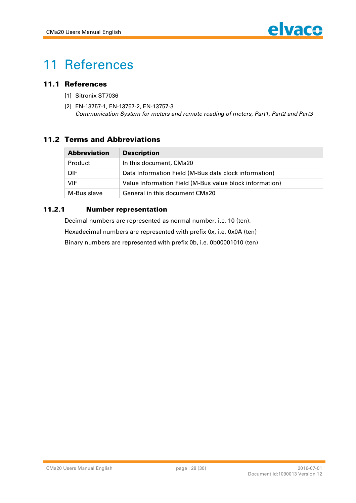![](_page_27_Picture_1.jpeg)

## **11 References**

#### 11.1 **References**

- **[1] Sitronix ST7036**
- **[2] EN-13757-1, EN-13757-2, EN-13757-3** *Communication System for meters and remote reading of meters, Part1, Part2 and Part3*

#### **11.2 Terms and Abbreviations**

| <b>Abbreviation</b> | <b>Description</b>                                      |  |
|---------------------|---------------------------------------------------------|--|
| Product             | In this document, CMa20                                 |  |
| <b>DIF</b>          | Data Information Field (M-Bus data clock information)   |  |
| VIF                 | Value Information Field (M-Bus value block information) |  |
| M-Bus slave         | General in this document CMa20                          |  |

#### **11.2.1 Number representation**

**Decimal numbers are represented as normal number, i.e. 10 (ten). Hexadecimal numbers are represented with prefix 0x, i.e. 0x0A (ten) Binary numbers are represented with prefix 0b, i.e. 0b00001010 (ten)**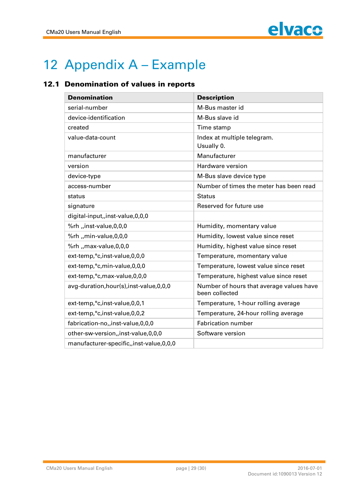![](_page_28_Picture_1.jpeg)

## **12 Appendix A – Example**

#### **12.1 Denomination of values in reports**

| <b>Denomination</b>                         | <b>Description</b>                                         |
|---------------------------------------------|------------------------------------------------------------|
| serial-number                               | M-Bus master id                                            |
| device-identification                       | M-Bus slave id                                             |
| created                                     | Time stamp                                                 |
| value-data-count                            | Index at multiple telegram.<br>Usually 0.                  |
| manufacturer                                | Manufacturer                                               |
| version                                     | Hardware version                                           |
| device-type                                 | M-Bus slave device type                                    |
| access-number                               | Number of times the meter has been read                    |
| status                                      | <b>Status</b>                                              |
| signature                                   | Reserved for future use                                    |
| digital-input,,inst-value,0,0,0             |                                                            |
| %rh "inst-value,0,0,0                       | Humidity, momentary value                                  |
| %rh "min-value,0,0,0                        | Humidity, lowest value since reset                         |
| %rh "max-value,0,0,0                        | Humidity, highest value since reset                        |
| ext-temp,°c, inst-value, 0,0,0              | Temperature, momentary value                               |
| ext-temp,°c,min-value,0,0,0                 | Temperature, lowest value since reset                      |
| ext-temp,°c,max-value,0,0,0                 | Temperature, highest value since reset                     |
| avg-duration, hour(s), inst-value, 0,0,0    | Number of hours that average values have<br>been collected |
| ext-temp,°c,inst-value,0,0,1                | Temperature, 1-hour rolling average                        |
| ext-temp,°c, inst-value, 0, 0, 2            | Temperature, 24-hour rolling average                       |
| fabrication-no,,inst-value,0,0,0            | <b>Fabrication number</b>                                  |
| other-sw-version,,inst-value,0,0,0          | Software version                                           |
| manufacturer-specific,, inst-value, 0, 0, 0 |                                                            |